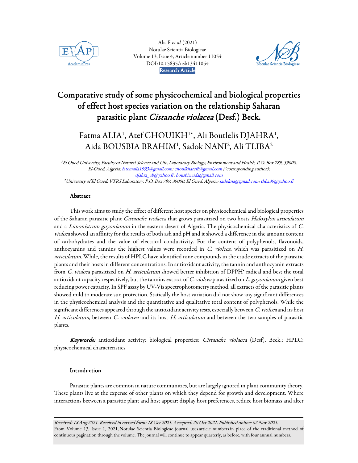

Alia F et al. (2021) Notulae Scientia Biologicae [Volume 13, Issue 4, Article number 11054](https://www.notulaebiologicae.ro/index.php/nsb)  DOI:10.15835/nsb13411054 AcademicPres Notulae Scientia BiologicaeResearch Article



# Comparative study of some physicochemical and biological properties of effect host species variation on the relationship Saharan parasitic plant Cistanche violacea (Desf.) Beck.

# Fatma ALIA<sup>1</sup>, Atef CHOUIKH<sup>1\*</sup>, Ali Boutlelis DJAHRA<sup>1</sup>, Aida BOUSBIA BRAHIM<sup>1</sup> , Sadok NANI<sup>2</sup> , Ali TLIBA<sup>2</sup>

<sup>1</sup>El Oued University, Faculty of Natural Science and Life, Laboratory Biology, Environment and Health, P.O. Box 789, 39000, El-Oued, Algeria; fatemalia1993@gmail.com; chouikhateff@gmail.com (\*corresponding author); djahra\_ab@yahoo.fr; bousbia.aida@gmail.com <sup>2</sup>University of El Oued, VTRS Laboratory, P.O. Box 789, 39000, El Oued, Algeria; sadokna@gmail.com; tliba39@yahoo.fr

# **Abstract**

This work aims to study the effect of different host species on physicochemical and biological properties of the Saharan parasitic plant Cistanche violacea that grows parasitized on two hosts Haloxylon articulatum and a *Limonistrum guyonianum* in the eastern desert of Algeria. The physicochemical characteristics of C. violcea showed an affinity for the results of both ash and pH and it showed a difference in the amount content of carbohydrates and the value of electrical conductivity. For the content of polyphenols, flavonoids, anthocyanins and tannins the highest values were recorded in C. violcea, which was parasitized on H. articulatum. While, the results of HPLC have identified nine compounds in the crude extracts of the parasitic plants and their hosts in different concentrations. In antioxidant activity, the tannin and anthocyanin extracts from C. violcea parasitized on H. articulatum showed better inhibition of DPPH<sup>•</sup> radical and best the total antioxidant capacity respectively, but the tannins extract of  $C.$  violcea parasitized on  $L.$  guyonianum given best reducing power capacity. In SPF assay by UV-Vis spectrophotometry method, all extracts of the parasitic plants showed mild to moderate sun protection. Statically the host variation did not show any significant differences in the physicochemical analysis and the quantitative and qualitative total content of polyphenols. While the significant differences appeared through the antioxidant activity tests, especially between C. violcea and its host H. articulatum, between C. violacea and its host H. articulatum and between the two samples of parasitic plants.

Keywords: antioxidant activity; biological properties; Cistanche violacea (Desf). Beck.; HPLC; physicochemical characteristics

# Introduction

Parasitic plants are common in nature communities, but are largely ignored in plant community theory. These plants live at the expense of other plants on which they depend for growth and development. Where interactions between a parasitic plant and host appear: display host preferences, reduce host biomass and alter

Received: 18 Aug 2021. Received in revised form: 18 Oct 2021. Accepted: 20 Oct 2021. Published online: 02 Nov 2021. From Volume 13, Issue 1, 2021, Notulae Scientia Biologicae journal uses article numbers in place of the traditional method of continuous pagination through the volume. The journal will continue to appear quarterly, as before, with four annual numbers.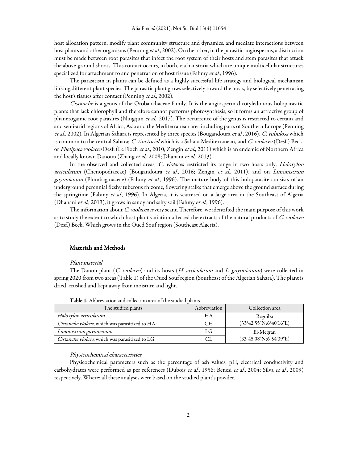host allocation pattern, modify plant community structure and dynamics, and mediate interactions between host plants and other organisms (Penning et al., 2002). On the other, in the parasitic angiosperms, a distinction must be made between root parasites that infect the root system of their hosts and stem parasites that attack the above-ground shoots. This contact occurs, in both, via haustoria which are unique multicellular structures specialized for attachment to and penetration of host tissue (Fahmy et al., 1996).

The parasitism in plants can be defined as a highly successful life strategy and biological mechanism linking different plant species. The parasitic plant grows selectively toward the hosts, by selectively penetrating the host's tissues after contact (Penning et al., 2002).

Cistanche is a genus of the Orobanchaceae family. It is the angiosperm dicotyledonous holoparasitic plants that lack chlorophyll and therefore cannot performs photosynthesis, so it forms an attractive group of phanerogamic root parasites (Ningqun et al., 2017). The occurrence of the genus is restricted to certain arid and semi-arid regions of Africa, Asia and the Mediterranean area including parts of Southern Europe (Penning et al., 2002). In Algerian Sahara is represented by three species (Bougandoura et al., 2016), C. tubulosa which is common to the central Sahara; C. tinctorial which is a Sahara Mediterranean, and C. violacea (Desf.) Beck. or Phelipaea violacea Desf. (Le Floch et al., 2010; Zengin et al., 2011) which is an endemic of Northern Africa and locally known Danoun (Zhang et al., 2008; Dhanani et al., 2013).

In the observed and collected areas, C. violacea restricted its range in two hosts only, Haloxylon articulatum (Chenopodiaceae) (Bougandoura et al., 2016; Zengin et al., 2011), and on Limonistrum guyonianum (Plumbaginaceae) (Fahmy et al., 1996). The mature body of this holoparasite consists of an underground perennial fleshy tuberous rhizome, flowering stalks that emerge above the ground surface during the springtime (Fahmy et al., 1996). In Algeria, it is scattered on a large area in the Southeast of Algeria (Dhanani et al., 2013), it grows in sandy and salty soil (Fahmy et al., 1996).

The information about *C. violacea is* very scant. Therefore, we identified the main purpose of this work as to study the extent to which host plant variation affected the extracts of the natural products of C. violacea (Desf.) Beck. Which grows in the Oued Souf region (Southeast Algeria).

# Materials and Methods

#### Plant material

The Danon plant  $(C.$  violacea) and its hosts  $(H.$  articulatum and L. guyonianum) were collected in spring 2020 from two areas (Table 1) of the Oued Souf region (Southeast of the Algerian Sahara). The plant is dried, crushed and kept away from moisture and light.

| The studied plants                             | Abbreviation | Collection area        |
|------------------------------------------------|--------------|------------------------|
| Haloxylon articulatum                          | НA           | Reguiba                |
| Cistanche violcea, which was parasitized to HA | <b>CH</b>    | (33°42'55"N;6°40'16"E) |
| Limonistrum guyonianum                         | LG           | El-Megran              |
| Cistanche violcea, which was parasitized to LG | СL           | (33°45'08"N;6°54'39"E) |

Table 1. Abbreviation and collection area of the studied plants

#### Physicochemical characteristics

Physicochemical parameters such as the percentage of ash values, pH, electrical conductivity and carbohydrates were performed as per references (Dubois et al., 1956; Benesi et al., 2004; Silva et al., 2009) respectively. Where: all these analyses were based on the studied plant's powder.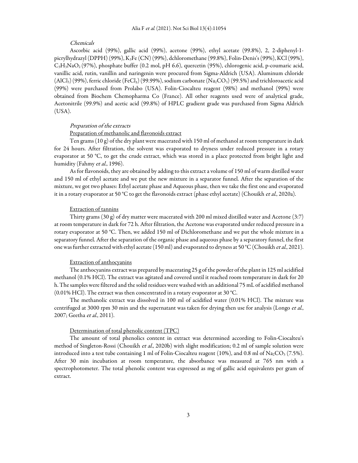# Chemicals

Ascorbic acid (99%), gallic acid (99%), acetone (99%), ethyl acetate (99.8%), 2, 2-diphenyl-1 picrylhydrazyl (DPPH) (99%), K3Fe (CN) (99%), dchloromethane (99.8%), Folin-Denis's (99%), KCl (99%), C3H3NaO2 (97%), phosphate buffer (0.2 mol, pH 6.6), quercetin (95%), chlorogenic acid, p-coumaric acid, vanillic acid, rutin, vanillin and naringenin were procured from Sigma-Aldrich (USA). Aluminum chloride  $(AICI<sub>3</sub>)$  (99%), ferric chloride (FeCl<sub>3</sub>) (99.99%), sodium carbonate (Na<sub>2</sub>CO<sub>3</sub>) (99.5%) and trichloroacetic acid (99%) were purchased from Prolabo (USA). Folin-Ciocalteu reagent (98%) and methanol (99%) were obtained from Biochem Chemopharma Co (France). All other reagents used were of analytical grade, Acetonitrile (99.9%) and acetic acid (99.8%) of HPLC gradient grade was purchased from Sigma Aldrich (USA).

# Preparation of the extracts

#### Preparation of methanolic and flavonoids extract

Ten grams (10 g) of the dry plant were macerated with 150 ml of methanol at room temperature in dark for 24 hours. After filtration, the solvent was evaporated to dryness under reduced pressure in a rotary evaporator at 50 °C, to get the crude extract, which was stored in a place protected from bright light and humidity (Fahmy et al., 1996).

As for flavonoids, they are obtained by adding to this extract a volume of 150 ml of warm distilled water and 150 ml of ethyl acetate and we put the new mixture in a separator funnel. After the separation of the mixture, we got two phases: Ethyl acetate phase and Aqueous phase, then we take the first one and evaporated it in a rotary evaporator at 50 °C to get the flavonoids extract (phase ethyl acetate) (Chouikh *et al.*, 2020a).

# Extraction of tannins

Thirty grams (30 g) of dry matter were macerated with 200 ml mixed distilled water and Acetone (3:7) at room temperature in dark for 72 h. After filtration, the Acetone was evaporated under reduced pressure in a rotary evaporator at 50 °C. Then, we added 150 ml of Dichloromethane and we put the whole mixture in a separatory funnel. After the separation of the organic phase and aqueous phase by a separatory funnel, the first one was further extracted with ethyl acetate (150 ml) and evaporated to dryness at 50 °C (Chouikh *et al.*, 2021).

# Extraction of anthocyanins

The anthocyanins extract was prepared by macerating 25 g of the powder of the plant in 125 ml acidified methanol (0.1% HCl). The extract was agitated and covered until it reached room temperature in dark for 20 h. The samples were filtered and the solid residues were washed with an additional 75 mL of acidified methanol (0.01% HCl). The extract was then concentrated in a rotary evaporator at 30 °C.

The methanolic extract was dissolved in 100 ml of acidified water (0.01% HCl). The mixture was centrifuged at 3000 rpm 30 min and the supernatant was taken for drying then use for analysis (Longo et al., 2007; Geetha et al., 2011).

#### Determination of total phenolic content (TPC)

The amount of total phenolics content in extract was determined according to Folin-Ciocalteu's method of Singleton-Rossi (Chouikh et al., 2020b) with slight modification; 0.2 ml of sample solution were introduced into a test tube containing 1 ml of Folin-Ciocalteu reagent (10%), and 0.8 ml of  $\text{Na}_2\text{CO}_3$  (7.5%). After 30 min incubation at room temperature, the absorbance was measured at 765 nm with a spectrophotometer. The total phenolic content was expressed as mg of gallic acid equivalents per gram of extract.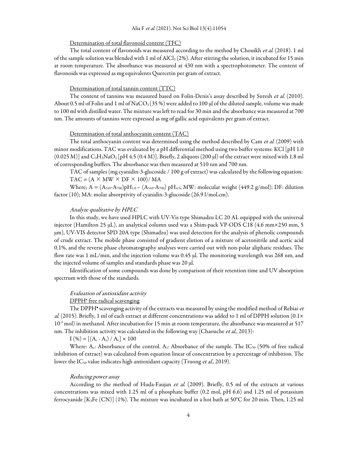#### Alia F et al. (2021). Not Sci Biol 13(4):11054

#### Determination of total flavonoid content (TFC)

The total content of flavonoids was measured according to the method by Chouikh et al. (2018). 1 ml of the sample solution was blended with 1 ml of AlCl<sub>3</sub> (2%). After stirring the solution, it incubated for 15 min at room temperature. The absorbance was measured at 430 nm with a spectrophotometer. The content of flavonoids was expressed as mg equivalents Quercetin per gram of extract.

### Determination of total tannin content (TTC)

The content of tannins was measured based on Folin-Denis's assay described by Suresh et al. (2010). About 0.5 ml of Folin and 1 ml of NaCO<sub>3</sub> (35 %) were added to 100  $\mu$ l of the diluted sample, volume was made to 100 ml with distilled water. The mixture was left to read for 30 min and the absorbance was measured at 700 nm. The amounts of tannins were expressed as mg of gallic acid equivalents per gram of extract.

#### Determination of total anthocyanin content (TAC)

The total anthocyanin content was determined using the method described by Cam et al. (2009) with minor modifications. TAC was evaluated by a pH differential method using two buffer systems: KCl [pH 1.0  $(0.025 \text{ M})$ ] and  $\text{C}_3\text{H}_3\text{NaO}_2$  [pH 4.5  $(0.4 \text{ M})$ ]. Briefly, 2 aliquots (200 µl) of the extract were mixed with 1.8 ml of corresponding buffers. The absorbance was then measured at 510 nm and 700 nm.

TAC of samples (mg cyanidin-3-glucoside / 100 g of extract) was calculated by the following equation:  $TAC = (A \times MW \times DF \times 100) / MA$ 

Where;  $A = (A_{510} - A_{700})pH_{1.0} - (A_{510} - A_{700})pH_{4.5}$ ; MW: molecular weight (449.2 g/mol); DF: dilution factor (10); MA: molar absorptivity of cyanidin-3-glucoside (26.9 l/mol.cm).

#### Analyze qualitative by HPLC

In this study, we have used HPLC with UV-Vis type Shimadzu LC 20 AL equipped with the universal injector (Hamilton 25 µL), an analytical column used was a Shim-pack VP-ODS C18 (4.6 mm×250 mm, 5 µm), UV-VIS detector SPD 20A type (Shimadzu) was used detection for the analysis of phenolic compounds of crude extract. The mobile phase consisted of gradient elution of a mixture of acetonitrile and acetic acid 0.1%, and the reverse phase chromatography analyses were carried out with non-polar aliphatic residues. The flow rate was 1 mL/min, and the injection volume was 0.45 μl. The monitoring wavelength was 268 nm, and the injected volume of samples and standards phase was 20 μl.

Identification of some compounds was done by comparison of their retention time and UV absorption spectrum with those of the standards.

#### Evaluation of antioxidant activity

### DPPH• free radical scavenging

The DPPH<sup>•</sup> scavenging activity of the extracts was measured by using the modified method of Rebiai et al. (2015). Briefly, 1 ml of each extract at different concentrations was added to 1 ml of DPPH solution (0.1×  $10^{-3}$  mol) in methanol. After incubation for 15 min at room temperature, the absorbance was measured at 517 nm. The inhibition activity was calculated in the following way (Chaouche et al., 2013):

 $I(\%) = [(A_c - A_s) / A_c] \times 100$ 

Where: A<sub>c</sub>: Absorbance of the control. A<sub>s</sub>: Absorbance of the sample. The IC<sub>50</sub> (50% of free radical inhibition of extract) was calculated from equation linear of concentration by a percentage of inhibition. The lower the IC<sub>50</sub> value indicates high antioxidant capacity (Truong *et al.*, 2019).

#### Reducing power assay

According to the method of Huda-Faujan et al. (2009). Briefly, 0.5 ml of the extracts at various concentrations was mixed with 1.25 ml of a phosphate buffer (0.2 mol, pH 6.6) and 1.25 ml of potassium ferrocyanide  $[K_3Fe (CN)]$  (1%). The mixture was incubated in a hot bath at 50°C for 20 min. Then, 1.25 ml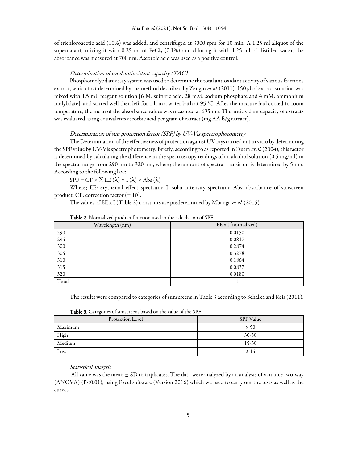of trichloroacetic acid (10%) was added, and centrifuged at 3000 rpm for 10 min. A 1.25 ml aliquot of the supernatant, mixing it with 0.25 ml of FeCl<sub>3</sub> (0.1%) and diluting it with 1.25 ml of distilled water, the absorbance was measured at 700 nm. Ascorbic acid was used as a positive control.

#### Determination of total antioxidant capacity (TAC)

Phosphomolybdate assay system was used to determine the total antioxidant activity of various fractions extract, which that determined by the method described by Zengin et al. (2011). 150 µl of extract solution was mixed with 1.5 mL reagent solution [6 M: sulfuric acid, 28 mM: sodium phosphate and 4 mM: ammonium molybdate], and stirred well then left for 1 h in a water bath at 95 °C. After the mixture had cooled to room temperature, the mean of the absorbance values was measured at 695 nm. The antioxidant capacity of extracts was evaluated as mg equivalents ascorbic acid per gram of extract (mg AA E/g extract).

#### Determination of sun protection factor (SPF) by UV-Vis spectrophotometry

The Determination of the effectiveness of protection against UV rays carried out in vitro by determining the SPF value by UV-Vis spectrophotometry. Briefly, according to as reported in Dutra et al. (2004), this factor is determined by calculating the difference in the spectroscopy readings of an alcohol solution (0.5 mg/ml) in the spectral range from 290 nm to 320 nm, where; the amount of spectral transition is determined by 5 nm. According to the following law:

 $SPF = CF \times \sum EE(\lambda) \times I(\lambda) \times Abs(\lambda)$ 

Where; EE: erythemal effect spectrum; I: solar intensity spectrum; Abs: absorbance of sunscreen product; CF: correction factor  $(=10)$ .

The values of EE x I (Table 2) constants are predetermined by Mbanga et al. (2015).

| Wavelength (nm) | EE x I (normalized) |
|-----------------|---------------------|
| 290             | 0.0150              |
| 295             | 0.0817              |
| 300             | 0.2874              |
| 305             | 0.3278              |
| 310             | 0.1864              |
| 315             | 0.0837              |
| 320             | 0.0180              |
| Total           |                     |

| Table 2. Normalized product function used in the calculation of SPF |  |  |  |
|---------------------------------------------------------------------|--|--|--|
|---------------------------------------------------------------------|--|--|--|

The results were compared to categories of sunscreens in Table 3 according to Schalka and Reis (2011).

Table 3. Categories of sunscreens based on the value of the SPF

| Protection Level | SPF Value |
|------------------|-----------|
| Maximum          | > 50      |
| High             | $30-50$   |
| Medium           | $15-30$   |
| Low              | $2 - 15$  |

#### Statistical analysis

All value was the mean  $\pm$  SD in triplicates. The data were analyzed by an analysis of variance two-way (ANOVA) (P<0.01); using Excel software (Version 2016) which we used to carry out the tests as well as the curves.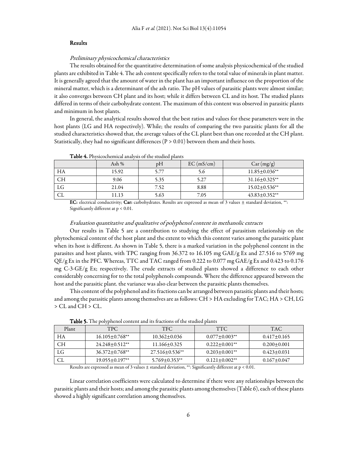#### **Results**

#### Preliminary physicochemical characteristics

The results obtained for the quantitative determination of some analysis physicochemical of the studied plants are exhibited in Table 4. The ash content specifically refers to the total value of minerals in plant matter. It is generally agreed that the amount of water in the plant has an important influence on the proportion of the mineral matter, which is a determinant of the ash ratio. The pH values of parasitic plants were almost similar; it also converges between CH plant and its host; while it differs between CL and its host. The studied plants differed in terms of their carbohydrate content. The maximum of this content was observed in parasitic plants and minimum in host plants.

In general, the analytical results showed that the best ratios and values for these parameters were in the host plants (LG and HA respectively). While; the results of comparing the two parasitic plants for all the studied characteristics showed that, the average values of the CL plant best than one recorded at the CH plant. Statistically, they had no significant differences ( $P > 0.01$ ) between them and their hosts.

|           | Ash $%$ | рH   | EC (mS/cm) | Car (mg/g)           |
|-----------|---------|------|------------|----------------------|
| HA        | 15.92   | 5.77 | 5.0        | $11.85 \pm 0.036**$  |
| <b>CH</b> | 9.06    | 5.35 | 5.27       | $31.16 \pm 0.325$ ** |
| LG        | 21.04   | 7.52 | 8.88       | $15.02 \pm 0.536**$  |
| СL        | 11.13   | 5.63 | 7.05       | $43.83 \pm 0.352$ ** |

Table 4**.**Physicochemical analysis of the studied plants

EC: electrical conductivity; Car: carbohydrates. Results are expressed as mean of 3 values  $\pm$  standard deviation, \*\*: Significantly different at p < 0.01.

#### Evaluation quantitative and qualitative of polyphenol content in methanolic extracts

Our results in Table 5 are a contribution to studying the effect of parasitism relationship on the phytochemical content of the host plant and the extent to which this content varies among the parasitic plant when its host is different. As shown in Table 5, there is a marked variation in the polyphenol content in the parasites and host plants, with TPC ranging from 36.372 to 16.105 mg GAE/g Ex and 27.516 to 5769 mg QE/g Ex in the PFC. Whereas, TTC and TAC ranged from 0.222 to 0.077 mg GAE/g Ex and 0.423 to 0.176 mg C-3-GE/g Ex; respectively. The crude extracts of studied plants showed a difference to each other considerably concerning for to the total polyphenols compounds. Where the difference appeared between the host and the parasitic plant. the variance was also clear between the parasitic plants themselves.

This content of the polyphenol and its fractions can be arranged between parasitic plants and their hosts; and among the parasitic plants among themselves are as follows: CH > HA excluding for TAC; HA > CH, LG > CL and CH > CL.

| Plant | <b>TPC</b>            | TFC.                  | <b>TTC</b>           | <b>TAC</b>        |  |
|-------|-----------------------|-----------------------|----------------------|-------------------|--|
| HА    | $16.105 + 0.768$ **   | $10.362 + 0.036$      | $0.077 \pm 0.003$ ** | $0.417+0.165$     |  |
| CН    | $24.248 + 0.512**$    | $11.166 + 0.325$      | $0.222 \pm 0.001$ ** | $0.200 + 0.001$   |  |
| LG    | $36.372 \pm 0.768$ ** | $27.516 \pm 0.536$ ** | $0.203 \pm 0.001$ ** | $0.423 \pm 0.031$ |  |
| СL    | $19.055 \pm 0.197$ ** | $5.769 \pm 0.353**$   | $0.121 \pm 0.002$ ** | $0.167 + 0.047$   |  |

Table 5**.** The polyphenol content and its fractions of the studied plants

Results are expressed as mean of 3 values ± standard deviation, \*\*: Significantly different at p < 0.01.

Linear correlation coefficients were calculated to determine if there were any relationships between the parasitic plants and their hosts; and among the parasitic plants among themselves (Table 6), each of these plants showed a highly significant correlation among themselves.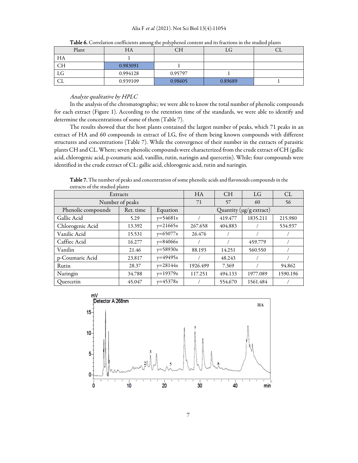| Plant     | HA       | CН      | LG      | ◡┶ |
|-----------|----------|---------|---------|----|
| HA        |          |         |         |    |
| <b>CH</b> | 0.983091 |         |         |    |
| LG        | 0.994128 | 0.95797 |         |    |
| CL        | 0.939109 | 0.98605 | 0.89689 |    |

Table 6. Correlation coefficients among the polyphenol content and its fractions in the studied plants

# Analyze qualitative by HPLC

In the analysis of the chromatographic; we were able to know the total number of phenolic compounds for each extract (Figure 1). According to the retention time of the standards, we were able to identify and determine the concentrations of some of them (Table 7).

The results showed that the host plants contained the largest number of peaks, which 71 peaks in an extract of HA and 60 compounds in extract of LG, five of them being known compounds with different structures and concentrations (Table 7). While the convergence of their number in the extracts of parasitic plants CH and CL. Where; seven phenolic compounds were characterized from the crude extract of CH (gallic acid, chlorogenic acid, p-coumaric acid, vanillin, rutin, naringin and quercetin). While; four compounds were identified in the crude extract of CL: gallic acid, chlorogenic acid, rutin and naringin.

Table 7. The number of peaks and concentration of some phenolic acids and flavonoids compounds in the extracts of the studied plants

| Extracts           |           |            | HA                      | <b>CH</b> | <b>LG</b> | CL       |
|--------------------|-----------|------------|-------------------------|-----------|-----------|----------|
| Number of peaks    |           |            | 71                      | 57        | 60        | 56       |
| Phenolic compounds | Ret. time | Equation   | Quantity (µg/g extract) |           |           |          |
| Gallic Acid        | 5.29      | $y=54681x$ |                         | 419.477   | 1835.211  | 215.980  |
| Chlorogenic Acid   | 13.392    | $y=21665x$ | 267.658                 | 404.883   |           | 534.937  |
| Vanilic Acid       | 15.531    | $y=65077x$ | 26.476                  |           |           |          |
| Caffiec Acid       | 16.277    | $y=84066x$ |                         |           | 459.779   |          |
| Vanilin            | 21.46     | $y=58930x$ | 88.193                  | 14.251    | 560.550   |          |
| p-Coumaric Acid    | 23.817    | $y=49495x$ |                         | 48.243    |           |          |
| Rutin              | 28.37     | $y=28144x$ | 1926.499                | 7.369     |           | 94.862   |
| Naringin           | 34.788    | $y=19379x$ | 117.251                 | 494.133   | 1977.089  | 1590.196 |
| Ouercetin          | 45.047    | $y=45378x$ |                         | 554.670   | 1561.484  |          |

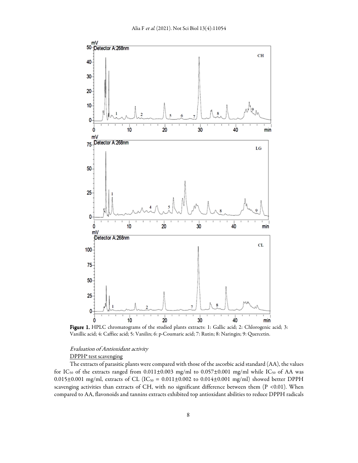

Figure 1. HPLC chromatograms of the studied plants extracts: 1: Gallic acid; 2: Chlorogenic acid; 3: Vanillic acid; 4: Caffiec acid; 5: Vanilin; 6: p-Coumaric acid; 7: Rutin; 8: Naringin; 9: Quercetin.

# Evaluation of Antioxidant activity

# DPPH' test scavenging

The extracts of parasitic plants were compared with those of the ascorbic acid standard (AA), the values for IC<sub>50</sub> of the extracts ranged from  $0.011 \pm 0.003$  mg/ml to  $0.057 \pm 0.001$  mg/ml while IC<sub>50</sub> of AA was 0.015±0.001 mg/ml, extracts of CL (IC<sub>50</sub> = 0.011±0.002 to 0.014±0.001 mg/ml) showed better DPPH scavenging activities than extracts of CH, with no significant difference between them (P <0.01). When compared to AA, flavonoids and tannins extracts exhibited top antioxidant abilities to reduce DPPH radicals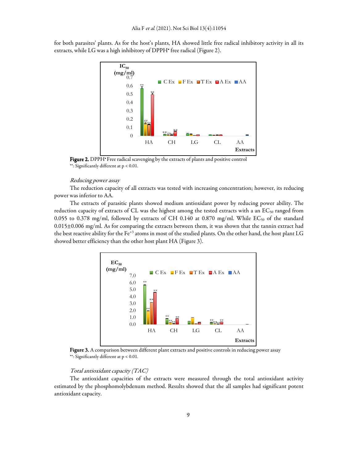for both parasites' plants. As for the host's plants, HA showed little free radical inhibitory activity in all its extracts, while LG was a high inhibitory of DPPH• free radical (Figure 2).



Figure 2. DPPH<sup>.</sup> Free radical scavenging by the extracts of plants and positive control \*\*: Significantly different at p < 0.01.

### Reducing power assay

The reduction capacity of all extracts was tested with increasing concentration; however, its reducing power was inferior to AA.

The extracts of parasitic plants showed medium antioxidant power by reducing power ability. The reduction capacity of extracts of CL was the highest among the tested extracts with a an EC<sub>50</sub> ranged from 0.055 to 0.378 mg/ml, followed by extracts of CH 0.140 at 0.870 mg/ml. While  $EC_{50}$  of the standard 0.015±0.006 mg/ml. As for comparing the extracts between them, it was shown that the tannin extract had the best reactive ability for the Fe<sup>+3</sup> atoms in most of the studied plants. On the other hand, the host plant LG showed better efficiency than the other host plant HA (Figure 3).



Figure 3. A comparison between different plant extracts and positive controls in reducing power assay \*\*: Significantly different at p < 0.01.

# Total antioxidant capacity (TAC)

The antioxidant capacities of the extracts were measured through the total antioxidant activity estimated by the phosphomolybdenum method. Results showed that the all samples had significant potent antioxidant capacity.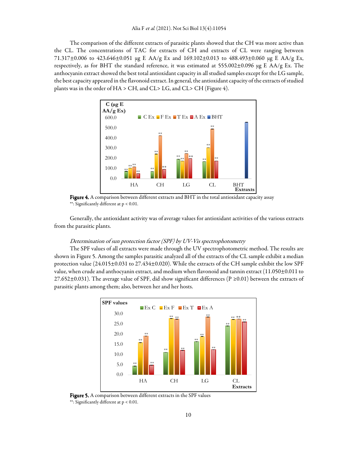The comparison of the different extracts of parasitic plants showed that the CH was more active than the CL. The concentrations of TAC for extracts of CH and extracts of CL were ranging between 71.317±0.006 to 423.646±0.051 µg E AA/g Ex and 169.102±0.013 to 488.493±0.060 µg E AA/g Ex, respectively, as for BHT the standard reference, it was estimated at 555.002±0.096 µg E AA/g Ex. The anthocyanin extract showed the best total antioxidant capacity in all studied samples except for the LG sample, the best capacity appeared in the flavonoid extract. In general, the antioxidant capacity of the extracts of studied plants was in the order of HA > CH, and CL> LG, and CL> CH (Figure 4).



Figure 4. A comparison between different extracts and BHT in the total antioxidant capacity assay \*\*: Significantly different at p < 0.01.

Generally, the antioxidant activity was ofaverage values for antioxidant activities of the various extracts from the parasitic plants.

# Determination of sun protection factor (SPF) by UV-Vis spectrophotometry

The SPF values of all extracts were made through the UV spectrophotometric method. The results are shown in Figure 5. Among the samples parasitic analyzed all of the extracts of the CL sample exhibit a median protection value (24.015±0.031 to 27.434±0.020). While the extracts of the CH sample exhibit the low SPF value, when crude and anthocyanin extract, and medium when flavonoid and tannin extract (11.050±0.011 to 27.652±0.031). The average value of SPF, did show significant differences (P  $\geq$ 0.01) between the extracts of parasitic plants among them; also, between her and her hosts.



Figure 5. A comparison between different extracts in the SPF values \*\*: Significantly different at p < 0.01.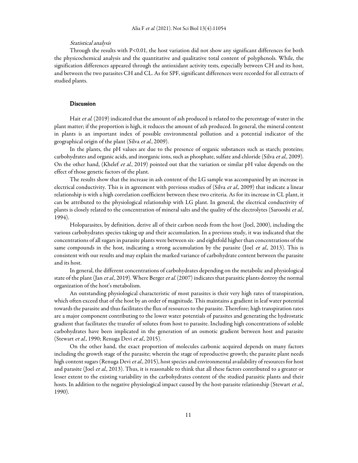### Statistical analysis

Through the results with P<0.01, the host variation did not show any significant differences for both the physicochemical analysis and the quantitative and qualitative total content of polyphenols. While, the signification differences appeared through the antioxidant activity tests, especially between CH and its host, and between the two parasites CH and CL. As for SPF, significant differences were recorded for all extracts of studied plants.

#### Discussion Discussion

Hait et al. (2019) indicated that the amount of ash produced is related to the percentage of water in the plant matter; if the proportion is high, it reduces the amount of ash produced. In general, the mineral content in plants is an important index of possible environmental pollution and a potential indicator of the geographical origin of the plant (Silva et al., 2009).

In the plants, the pH values are due to the presence of organic substances such as starch; proteins; carbohydrates and organic acids, and inorganic ions, such as phosphate, sulfate and chloride (Silva et al., 2009). On the other hand, (Khelef et al., 2019) pointed out that the variation or similar pH value depends on the effect of those genetic factors of the plant.

The results show that the increase in ash content of the LG sample was accompanied by an increase in electrical conductivity. This is in agreement with previous studies of (Silva et al., 2009) that indicate a linear relationship is with a high correlation coefficient between these two criteria. As for its increase in CL plant, it can be attributed to the physiological relationship with LG plant. In general, the electrical conductivity of plants is closely related to the concentration of mineral salts and the quality of the electrolytes (Sarooshi et al., 1994).

Holoparasites, by definition, derive all of their carbon needs from the host (Joel, 2000), including the various carbohydrates species taking up and their accumulation. In a previous study, it was indicated that the concentrations of all sugars in parasite plants were between six- and eightfold higher than concentrations of the same compounds in the host, indicating a strong accumulation by the parasite (Joel et al., 2013). This is consistent with our results and may explain the marked variance of carbohydrate content between the parasite and its host.

In general, the different concentrations of carbohydrates depending on the metabolic and physiological state of the plant (Jan et al., 2019). Where Berger et al. (2007) indicates that parasitic plants destroy the normal organization of the host's metabolism.

An outstanding physiological characteristic of most parasites is their very high rates of transpiration, which often exceed that of the host by an order of magnitude. This maintains a gradient in leaf water potential towards the parasite and thus facilitates the flux of resources to the parasite. Therefore; high transpiration rates are a major component contributing to the lower water potentials of parasites and generating the hydrostatic gradient that facilitates the transfer of solutes from host to parasite. Including high concentrations of soluble carbohydrates have been implicated in the generation of an osmotic gradient between host and parasite (Stewart et al., 1990; Renuga Devi et al., 2015).

On the other hand, the exact proportion of molecules carbonic acquired depends on many factors including the growth stage of the parasite; wherein the stage of reproductive growth; the parasite plant needs high content sugars (Renuga Devi et al., 2015), host species and environmental availability of resources for host and parasite (Joel et al., 2013). Thus, it is reasonable to think that all these factors contributed to a greater or lesser extent to the existing variability in the carbohydrates content of the studied parasitic plants and their hosts. In addition to the negative physiological impact caused by the host-parasite relationship (Stewart et al., 1990).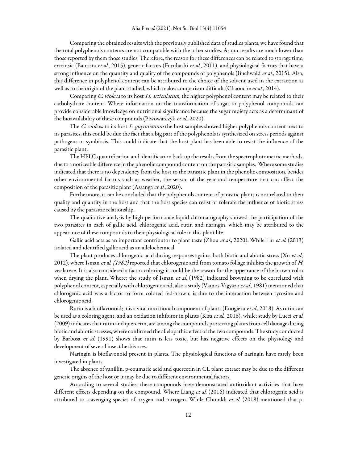Comparing the obtained results with the previously published data of studies plants, we have found that the total polyphenols contents are not comparable with the other studies. As our results are much lower than those reported by them those studies. Therefore, the reason for these differences can be related to storage time, extrinsic (Bautista et al., 2015), genetic factors (Furuhashi et al., 2011), and physiological factors that have a strong influence on the quantity and quality of the compounds of polyphenols (Buchwald et al., 2015). Also, this difference in polyphenol content can be attributed to the choice of the solvent used in the extraction as well as to the origin of the plant studied, which makes comparison difficult (Chaouche et al., 2014).

Comparing C. violcea to its host H. articulatum, the higher polyphenol content may be related to their carbohydrate content. Where information on the transformation of sugar to polyphenol compounds can provide considerable knowledge on nutritional significance because the sugar moiety acts as a determinant of the bioavailability of these compounds (Piwowarczyk et al., 2020).

The C. violcea to its host L. guyonianum the host samples showed higher polyphenols content next to its parasites, this could be due the fact that a big part of the polyphenols is synthesized on stress periods against pathogens or symbiosis. This could indicate that the host plant has been able to resist the influence of the parasitic plant.

The HPLC quantification and identification back up the results from the spectrophotometric methods, due to a noticeable difference in the phenolic compound content on the parasitic samples. Where some studies indicated that there is no dependency from the host to the parasitic plant in the phenolic composition, besides other environmental factors such as weather, the season of the year and temperature that can affect the composition of the parasitic plant (Assanga et al., 2020).

Furthermore, it can be concluded that the polyphenols content of parasitic plants is not related to their quality and quantity in the host and that the host species can resist or tolerate the influence of biotic stress caused by the parasitic relationship.

The qualitative analysis by high-performance liquid chromatography showed the participation of the two parasites in each of gallic acid, chlorogenic acid, rutin and naringin, which may be attributed to the appearance of these compounds to their physiological role in this plant life.

Gallic acid acts as an important contributor to plant taste (Zhou et al., 2020). While Liu et al. (2013) isolated and identified gallic acid as an allelochemical.

The plant produces chlorogenic acid during responses against both biotic and abiotic stress (Xu et al., 2012), where Isman et al. (1982) reported that chlorogenic acid from tomato foliage inhibits the growth of H. zea larvae. It is also considered a factor coloring; it could be the reason for the appearance of the brown color when drying the plant. Where; the study of Isman et al. (1982) indicated browning to be correlated with polyphenol content, especially with chlorogenic acid, also a study (Vamos-Vigyazo et al., 1981) mentioned that chlorogenic acid was a factor to form colored red-brown, is due to the interaction between tyrosine and chlorogenic acid.

Rutin is a bioflavonoid; it is a vital nutritional component of plants (Enogieru et al., 2018). As rutin can be used as a coloring agent, and an oxidation inhibitor in plants (Kisa et al., 2016). while; study by Lucci et al. (2009) indicates that rutin and quercetin, are among the compounds protecting plants from cell damage during biotic and abiotic stresses, where confirmed the allelopathic effect of the two compounds. The study conducted by Barbosa et al. (1991) shows that rutin is less toxic, but has negative effects on the physiology and development of several insect herbivores.

Naringin is bioflavonoid present in plants. The physiological functions of naringin have rarely been investigated in plants.

The absence of vanillin, p-coumaric acid and quercetin in CL plant extract may be due to the different genetic origins of the host or it may be due to different environmental factors.

According to several studies, these compounds have demonstrated antioxidant activities that have different effects depending on the compound. Where Liang et al. (2016) indicated that chlorogenic acid is attributed to scavenging species of oxygen and nitrogen. While Chouikh *et al.* (2018) mentioned that  $\rho$ -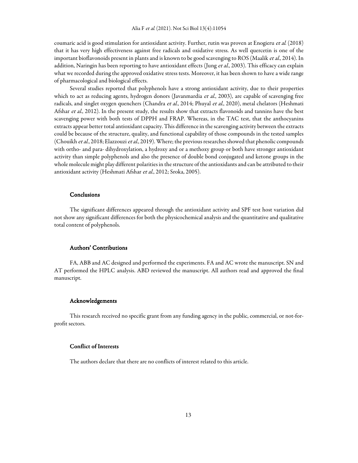coumaric acid is good stimulation for antioxidant activity. Further, rutin was proven at Enogieru et al. (2018) that it has very high effectiveness against free radicals and oxidative stress. As well quercetin is one of the important bioflavonoids present in plants and is known to be good scavenging to ROS (Maalik et al., 2014). In addition, Naringin has been reporting to have antioxidant effects (Jung et al., 2003). This efficacy can explain what we recorded during the approved oxidative stress tests. Moreover, it has been shown to have a wide range of pharmacological and biological effects.

Several studies reported that polyphenols have a strong antioxidant activity, due to their properties which to act as reducing agents, hydrogen donors (Javanmardia et al., 2003), are capable of scavenging free radicals, and singlet oxygen quenchers (Chandra et al., 2014; Phuyal et al., 2020), metal chelators (Heshmati Afshar et al., 2012). In the present study, the results show that extracts flavonoids and tannins have the best scavenging power with both tests of DPPH and FRAP. Whereas, in the TAC test, that the anthocyanins extracts appear better total antioxidant capacity. This difference in the scavenging activity between the extracts could be because of the structure, quality, and functional capability of those compounds in the tested samples (Chouikh et al., 2018; Elazzouzi et al., 2019). Where; the previous researches showed that phenolic compounds with ortho- and para- dihydroxylation, a hydroxy and or a methoxy group or both have stronger antioxidant activity than simple polyphenols and also the presence of double bond conjugated and ketone groups in the whole molecule might play different polarities in the structure of the antioxidants and can be attributed to their antioxidant activity (Heshmati Afshar et al., 2012; Sroka, 2005).

### **Conclusions**

The significant differences appeared through the antioxidant activity and SPF test host variation did not show any significant differences for both the physicochemical analysis and the quantitative and qualitative total content of polyphenols.

# Authors' Contributions Authors' Contributions

FA, ABB and AC designed and performed the experiments. FA and AC wrote the manuscript. SN and AT performed the HPLC analysis. ABD reviewed the manuscript. All authors read and approved the final manuscript.

#### Acknowledgements Acknowledgements

This research received no specific grant from any funding agency in the public, commercial, or not-forprofit sectors.

#### Conflict of Interests Conflict Interests

The authors declare that there are no conflicts of interest related to this article.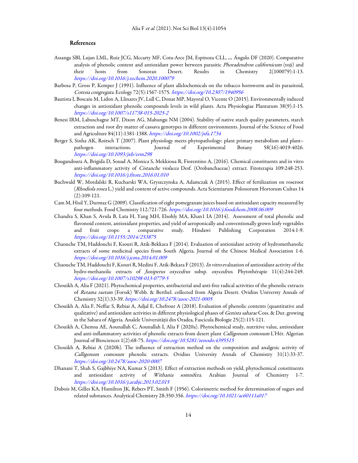#### **References**

- Assanga SBI, Lujan LML, Ruiz JCG, Mccarty MF, Cota-Arce JM, Espinoza CLL, *...* Ángulo DF (2020). Comparative analysis of phenolic content and antioxidant power between parasitic Phoradendron californicum (toji) and their hosts from Sonoran Desert. Results in Chemistry 2(100079):1-13. https://doi.org/10.1016/j.rechem.2020.100079
- Barbosa P, Gross P, Kemper J (1991). Influence of plant allelochemicals on the tobacco hornworm and its parasitoid, Cotesia congregata. Ecology 72(5):1567-1575. https://doi.org/10.2307/1940956
- Bautista I, Boscaiu M, Lidon A, Llinares JV, Lull C, Donat MP, Mayoral O, Vicente O (2015). Environmentally induced changes in antioxidant phenolic compounds levels in wild plants. Acta Physiologiae Plantarum 38(9):1-15. https://doi.org/10.1007/s11738-015-2025-2
- Benesi IRM, Labuschagne MT, Dixon AG, Mahungu NM (2004). Stability of native starch quality parameters, starch extraction and root dry matter of cassava genotypes in different environments. Journal of the Science of Food and Agriculture 84(11):1381-1388. https://doi.org/10.1002/jsfa.1734
- Berger S, Sinha AK, Roitsch T (2007). Plant physiology meets phytopathology: plant primary metabolism and plant– pathogen interactions. Journal of Experimental Botany 58(16):4019-4026. https://doi.org/10.1093/jxb/erm298
- Bougandoura A, Brigida D, Souad A, Monica S, Mekkioua R, Fiorentino A, (2016). Chemical constituents and in vitro anti-inflammatory activity of Cistanche violacea Desf. (Orobanchaceae) extract. Fitoterapia 109:248-253. https://doi.org/10.1016/j.fitote.2016.01.010
- Buchwald W, Mordalski R, Kucharski WA, Gryszczynska A, Adamczak A (2015). Effect of fertilization on roseroot (Rhodiola rosea L.) yield and content of active compounds. Acta Scientiarum Polonorum Hortorum Cultus 14 (2):109-121.
- Cam M, Hisil Y, Durmaz G (2009). Classification of eight pomegranate juices based on antioxidant capacity measured by four methods. Food Chemistry 112:721-726. https://doi.org/10.1016/j.foodchem.2008.06.009
- Chandra S, Khan S, Avula B, Lata H, Yang MH, Elsohly MA, Khan1 IA (2014). Assessment of total phenolic and flavonoid content, antioxidant properties, and yield of aeroponically and conventionally grown leafy vegetables and fruit crops: a comparative study. Hindawi Publishing Corporation 2014:1-9. https://doi.org/10.1155/2014/253875
- Chaouche TM, Haddouchi F, Ksouri R, Atik-Bekkara F (2014). Evaluation of antioxidant activity of hydromethanolic extracts of some medicinal species from South Algeria. Journal of the Chinese Medical Association 1-6. https://doi.org/10.1016/j.jcma.2014.01.009
- Chaouche TM, Haddouchi F, Ksouri R, Medini F, Atik-Bekara F (2013). In vitro evaluation of antioxidant activity of the hydro-methanolic extracts of Juniperus oxycedrus subsp. oxycedrus. Phytothérapie 11(4):244-249. https://doi.org/10.1007/s10298-013-0779-5
- Chouikh A, Alia F (2021). Phytochemical properties, antibacterial and anti-free radical activities of the phenolic extracts of Retama raetam (Forssk) Webb. & Berthel. collected from Algeria Desert. Ovidius Universty Annals of Chemistry 32(1):33-39. https://doi.org/10.2478/auoc-2021-0005
- Chouikh A, Alia F, Neffar S, Rebiai A, Adjal E, Chefrour A (2018). Evaluation of phenolic contents (quantitative and qualitative) and antioxidant activities in different physiological phases of Genista saharae Coss. & Dur. growing in the Sahara of Algeria. Analele Universităţii din Oradea, Fascicula Biologie 25(2):115-121.
- Chouikh A, Chemsa AE, Aounallah C, Aounallah I, Alia F (2020a). Phytochemical study, nutritive value, antioxidant and anti-inflammatory activities of phenolic extracts from desert plant Calligonum comosum L'Hér. Algerian Journal of Biosciences 1(2):68-75. https://doi.org/10.5281/zenodo.4395515
- Chouikh A, Rebiai A (2020b). The influence of extraction method on the composition and analgesic activity of Calligonum comosum phenolic extracts. Ovidius University Annals of Chemistry 31(1):33-37. https://doi.org/10.2478/auoc-2020-0007
- Dhanani T, Shah S, Gajbhiye NA, Kumar S (2013). Effect of extraction methods on yield, phytochemical constituents and antioxidant activity of Withania somnifera. Arabian Journal of Chemistry 1-7. https://doi.org/10.1016/j.arabjc.2013.02.015
- Dubois M, Gilles KA, Hamilton JK, Rebers PT, Smith F (1956). Colorimetric method for determination of sugars and related substances. Analytical Chemistry 28:350-356. https://doi.org/10.1021/ac60111a017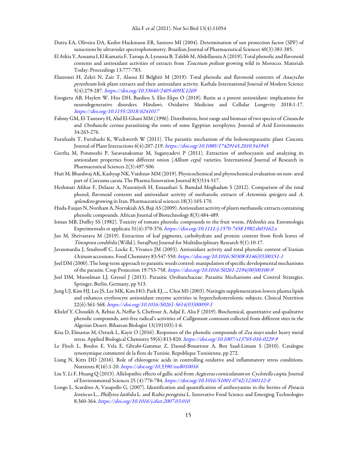- Dutra EA, Oliveira DA, Kedor-Hackmann ER, Santoro MI (2004). Determination of sun protection factor (SPF) of sunscreens by ultraviolet spectrophotometry. Brazilian Journal of Pharmaceutical Sciences 40(3):381-385.
- El Atkia Y, Aouama I, El Kamaria F, Taroqa A, Lyoussia B, Talebb M, Abdellaouia A (2019). Total phenolic and flavonoid contents and antioxidant activities of extracts from *Teucrium polium* growing wild in Morocco. Materials Today: Proceedings 13:777-783.
- Elazzouzi H, Zekri N, Zair T, Alaoui El Belghiti M (2019): Total phenolic and flavonoid contents of Anacyclus pyrethrum link plant extracts and their antioxidant activity. Karbala International Journal of Modern Science 5(4):279-287. https://doi.org/10.33640/2405-609X.1269
- Enogieru AB, Haylett W, Hiss DH, Bardien S, Eko Ekpo O (2018). Rutin as a potent antioxidant: implications for neurodegenerative disorders. Hindawi. Oxidative Medicine and Cellular Longevity 2018:1-17. https://doi.org/10.1155/2018/6241017
- Fahmy GM, El-Tantawy H, Abd El-Ghani MM (1996). Distribution, host range and biomass of two species of Cistanche and Orobanche cernua parasitizing the roots of some Egyptian xerophytes. Journal of Arid Environments 34:263-276.
- Furuhashi T, Furuhashi K, Weckwerth W (2011). The parasitic mechanism of the holostemparasitic plant Cuscuta. Journal of Plant Interactions 6(4):207-219. https://doi.org/10.1080/17429145.2010.541945
- Geetha M, Ponmozhi P, Saravanakumar M, Suganyadevi P (2011). Extraction of anthocyanin and analyzing its antioxidant properties from different onion (Allium cepa) varieties. International Journal of Research in Pharmaceutical Sciences 2(3):497-506.
- Hait M, Bhardwaj AK, Kashyap NK, Vaishnav MM (2019). Physicochemical and phytochemical evaluation on non- areal part of *Curcuma caesia*. The Pharma Innovation Journal 8(5)514-517.
- Heshmati Afshar F, Delazar A, Nazemiyeh H, Esnaashari S, Bamdad Moghadam S (2012). Comparison of the total phenol, flavonoid contents and antioxidant activity of methanolic extracts of Artemisia spicigera and A. splendens growing in Iran. Pharmaceutical sciences 18(3):165-170.
- Huda-Faujan N, Noriham A, Norrakiah AS, Baji AS (2009). Antioxidant activity of plants methanolic extracts containing phenolic compounds. African Journal of Biotechnology 8(3):484-489.
- Isman MB, Duffey SS (1982). Toxicity of tomato phenolic compounds to the fruit worm, Heliothis zea. Entomologia Experimentalis et applicata 31(4):370-376. https://doi.org/10.1111/j.1570-7458.1982.tb03162.x
- Jan M, Shrivastava M (2019). Extraction of leaf pigments, carbohydrate and protein content from fresh leaves of Tinospora cordifolia (Willd.). SurajPunj Journal for Multidisciplinary Research 9(1):10-17.
- Javanmardia J, Stushnoff C, Locke E, Vivanco JM (2003). Antioxidant activity and total phenolic content of Iranian Ocinum accessions. Food Chemistry 83:547-550. https://doi.org/10.1016/S0308-8146(03)00151-1
- Joel DM (2000). The long-term approach to parasitic weeds control: manipulation of specific developmental mechanisms of the parasite. Crop Protection 19:753-758. https://doi.org/10.1016/S0261-2194(00)00100-9
- Joel DM, Musselman LJ, Gressel J (2013). Parasitic Orobanchaceae: Parasitic Mechanisms and Control Strategies. Springer, Berlin, Germany, pp 513.
- Jung UJ, Kim HJ, Lee JS, Lee MK, Kim HO, Park EJ, *...* Choi MS (2003). Naringin supplementation lowers plasma lipids and enhances erythrocyte antioxidant enzyme activities in hypercholesterolemic subjects. Clinical Nutrition 22(6):561-568. https://doi.org/10.1016/S0261-5614(03)00059-1
- Khelef Y, Chouikh A, Rebiai A, Neffar S, Chefrour A, Adjal E, Alia F (2019). Biochemical, quantitative and qualitative phenolic compounds, anti-free radical's activities of *Calligonum comosum* collected from different sites in the Algerian Desert. Biharean Biologist 13(191103):1-6.
- Kisa D, Elmastas M, Ozturk L, Kayir O (2016). Responses of the phenolic compounds of Zea mays under heavy metal stress. Applied Biological Chemistry 59(6):813-820. https://doi.org/10.1007/s13765-016-0229-9
- Le Floch L, Boulos E, Vela E, Ghrabi-Gammar Z, Daoud-Bouattour A, Ben Saad-Limam S (2010). Catalogue synonymique commenté de la flore de Tunisie. Republique Tunisienne, pp 272.
- Liang N, Kitts DD (2016). Role of chlorogenic acids in controlling oxidative and inflammatory stress conditions. Nutrients 8(16):1-20. https://doi.org/10.3390/nu8010016
- Liu Y, Li F, Huang Q (2013). Allelopathic effects of gallic acid from Aegiceras corniculatum on Cyclotella caspia. Journal of Environmental Sciences 25 (4):776-784. https://doi.org/10.1016/S1001-0742(12)60112-0
- Longo L, Scardino A, Vasapollo G, (2007). Identification and quantification of anthocyanins in the berries of Pistacia lentiscus L., Phillyrea latifolia L. and Rubia peregrina L. Innovative Food Science and Emerging Technologies 8:360-364. https://doi.org/10.1016/j.ifset.2007.03.010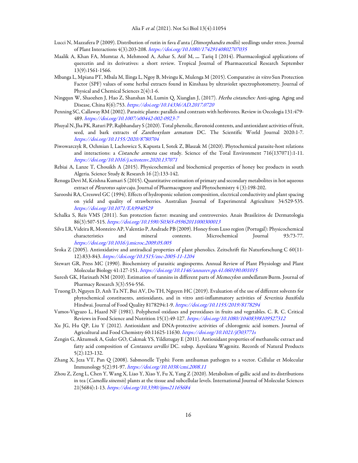- Lucci N, Mazzafera P (2009). Distribution of rutin in fava d'anta (Dimorphandra mollis) seedlings under stress. Journal of Plant Interactions 4(3):203-208. https://doi.org/10.1080/17429140802707035
- Maalik A, Khan FA, Mumtaz A, Mehmood A, Azhar S, Atif M, *...* Tariq I (2014). Pharmacological applications of quercetin and its derivatives: a short review. Tropical Journal of Pharmaceutical Research September 13(9):1561-1566.
- Mbanga L, Mpiana PT, Mbala M, Ilinga L, Ngoy B, Mvingu K, Mulenga M (2015). Comparative in vitro Sun Protection Factor (SPF) values of some herbal extracts found in Kinshasa by ultraviolet spectrophotometry. Journal of Physical and Chemical Sciences 2(4):1-6.
- Ningqun W, Shaozhen J, Hao Z, Shanshan M, Lumin Q, Xianglan J, (2017). Herba cistanches: Anti-aging*.* Aging and Disease, China 8(6):753. https://doi.org/10.14336/AD.2017.0720
- Penning SC, Callaway RM (2002). Parasitic plants: parallels and contrasts with herbivores. Review in Oecologia 131:479- 489. https://doi.org/10.1007/s00442-002-0923-7
- Phuyal N, Jha PK, Raturi PP, Rajbhandary S (2020). Total phenolic, flavonoid contents, and antioxidant activities of fruit, seed, and bark extracts of Zanthoxylum armatum DC. The Scientific World Journal 2020:1-7. https://doi.org/10.1155/2020/8780704
- Piwowarczyk R, Ochmian I, Lachowicz S, Kapusta I, Sotek Z, Błaszak M (2020). Phytochemical parasite-host relations and interactions: a *Cistanche armena* case study. Science of the Total Environment 716(137071):1-11. https://doi.org/10.1016/j.scitotenv.2020.137071
- Rebiai A, Lanze T, Chouikh A (2015). Physicochemical and biochemical properties of honey bee products in south Algeria. Science Study & Research 16 (2):133-142.
- Renuga Devi M, Krishna Kumari S (2015). Quantitative estimation of primary and secondary metabolites in hot aqueous extract of Pleurotus sajor caju. Journal of Pharmacognosy and Phytochemistry 4 (3):198-202.
- Sarooshi RA, Cresswel GC (1994). Effects of hydroponic solution composition, electrical conductivity and plant spacing on yield and quality of strawberries. Australian Journal of Experimental Agriculture 34:529-535. https://doi.org/10.1071/EA9940529
- Schalka S, Reis VMS (2011). Sun protection factor: meaning and controversies. Anais Brasileiros de Dermatologia 86(3):507-515. https://doi.org/10.1590/S0365-05962011000300013
- Silva LR, Videira R, Monteiro AP, Valentão P, Andrade PB (2009). Honey from Luso region (Portugal): Physicochemical characteristics and mineral contents. Microchemical Journal 93:73-77. https://doi.org/10.1016/j.microc.2009.05.005
- Sroka Z (2005). Antioxidative and antiradical properties of plant phenolics. Zeitschrift für Naturforschung C 60(11- 12):833-843. https://doi.org/10.1515/znc-2005-11-1204
- Stewart GR, Press MC (1990). Biochemistry of parasitic angiosperms. Annual Review of Plant Physiology and Plant Molecular Biology 41:127-151. https://doi.org/10.1146/annurev.pp.41.060190.001015
- Suresh GK, Harinath NM (2010). Estimation of tannins in different parts of Memecylon umbellatum Burm. Journal of Pharmacy Research 3(3):554-556.
- Truong D, Nguyen D, Anh Ta NT, Bui AV, Do TH, Nguyen HC (2019). Evaluation of the use of different solvents for phytochemical constituents, antioxidants, and in vitro anti-inflammatory activities of Severinia buxifolia Hindwai. Journal of Food Quality 8178294:1-9. https://doi.org/10.1155/2019/8178294
- Vamos-Vigyazo L, Haard NF (1981). Polyphenol oxidases and peroxidases in fruits and vegetables. C. R. C. Critical Reviews in Food Science and Nutrition 15(1):49-127. https://doi.org/10.1080/10408398109527312
- Xu JG, Hu QP, Liu Y (2012). Antioxidant and DNA-protective activities of chlorogenic acid isomers. Journal of Agricultural and Food Chemistry 60:11625-11630. https://doi.org/10.1021/jf303771s
- Zengin G, Aktumsek A, Guler GO, Cakmak YS, Yildiztugay E (2011). Antioxidant properties of methanolic extract and fatty acid composition of *Centaurea urvillei* DC. subsp. hayekiana Wagenitz. Records of Natural Products 5(2):123-132.
- Zhang X, Jeza VT, Pan Q (2008). Sabmonelle Typhi: Form antihuman pathogen to a vector. Cellular et Molecular Immunology 5(2):91-97. https://doi.org/10.1038/cmi.2008.11
- Zhou Z, Zeng L, Chen Y, Wang X, Liao Y, Xiao Y, Fu X, Yang Z (2020). Metabolism of gallic acid and its distributions in tea (Camellia sinensis) plants at the tissue and subcellular levels. International Journal of Molecular Sciences 21(5684):1-13. https://doi.org/10.3390/ijms21165684